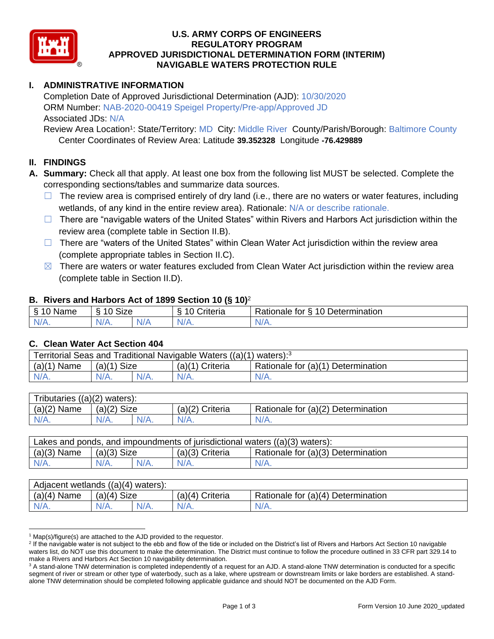

### **U.S. ARMY CORPS OF ENGINEERS REGULATORY PROGRAM APPROVED JURISDICTIONAL DETERMINATION FORM (INTERIM) NAVIGABLE WATERS PROTECTION RULE**

# **I. ADMINISTRATIVE INFORMATION**

Completion Date of Approved Jurisdictional Determination (AJD): 10/30/2020 ORM Number: NAB-2020-00419 Speigel Property/Pre-app/Approved JD Associated JDs: N/A

Review Area Location<sup>1</sup>: State/Territory: MD City: Middle River County/Parish/Borough: Baltimore County Center Coordinates of Review Area: Latitude **39.352328** Longitude **-76.429889**

#### **II. FINDINGS**

- **A. Summary:** Check all that apply. At least one box from the following list MUST be selected. Complete the corresponding sections/tables and summarize data sources.
	- $\Box$  The review area is comprised entirely of dry land (i.e., there are no waters or water features, including wetlands, of any kind in the entire review area). Rationale: N/A or describe rationale.
	- $\Box$  There are "navigable waters of the United States" within Rivers and Harbors Act jurisdiction within the review area (complete table in Section II.B).
	- ☐ There are "waters of the United States" within Clean Water Act jurisdiction within the review area (complete appropriate tables in Section II.C).
	- $\boxtimes$  There are waters or water features excluded from Clean Water Act jurisdiction within the review area (complete table in Section II.D).

#### **B. Rivers and Harbors Act of 1899 Section 10 (§ 10)**<sup>2</sup>

| -S<br>$\sim$<br>Name<br>υ | Size<br>$\sim$<br>c |     | ⌒<br>$\sim$<br>`riteria | 10<br>$\overline{\phantom{a}}$<br>-<br><b>Jetermination</b><br>⊀atıonale<br>tor<br>ٮ |
|---------------------------|---------------------|-----|-------------------------|--------------------------------------------------------------------------------------|
| $N/A$ .                   | $N/A$ .             | N/F | N/A.                    | N/A.                                                                                 |

#### **C. Clean Water Act Section 404**

| Territorial Seas and Traditional Navigable Waters $((a)(1)$ waters): <sup>3</sup> |                            |  |                 |                                    |  |
|-----------------------------------------------------------------------------------|----------------------------|--|-----------------|------------------------------------|--|
| (a)(1)<br>` Name                                                                  | Size<br>(a)( <sup>1)</sup> |  | (a)(1) Criteria | Rationale for (a)(1) Determination |  |
| $N/A$ .                                                                           | $N/A$ .                    |  | $N/A$ .         | $N/A$ .                            |  |

| Tributaries<br>$((a)(2)$ waters): |                |  |                   |                                    |  |
|-----------------------------------|----------------|--|-------------------|------------------------------------|--|
| (a)(2)<br>Name                    | (a)(2)<br>Size |  | $(a)(2)$ Criteria | Rationale for (a)(2) Determination |  |
| $N/A$ .                           | $N/A$ .        |  | $N/A$ .           | N/A.                               |  |

| Lakes and ponds, and impoundments of jurisdictional waters $((a)(3)$ waters): |               |         |                   |                                    |
|-------------------------------------------------------------------------------|---------------|---------|-------------------|------------------------------------|
| $(a)(3)$ Name                                                                 | $(a)(3)$ Size |         | $(a)(3)$ Criteria | Rationale for (a)(3) Determination |
| $N/A$ .                                                                       | $N/A$ .       | $N/A$ . | $N/A$ .           | $N/A$ .                            |

| Adjacent wetlands<br>$((a)(4)$ waters): |                       |             |                    |                                    |  |
|-----------------------------------------|-----------------------|-------------|--------------------|------------------------------------|--|
| $(a)(4)$ Name                           | <b>Size</b><br>(a)(4) |             | Criteria<br>(a)(4) | Rationale for (a)(4) Determination |  |
| N/A.                                    | $N/A$ .               | '/Δ<br>N/A. | $N/A$ .            | $N/A$ .                            |  |

 $1$  Map(s)/figure(s) are attached to the AJD provided to the requestor.

<sup>&</sup>lt;sup>2</sup> If the navigable water is not subject to the ebb and flow of the tide or included on the District's list of Rivers and Harbors Act Section 10 navigable waters list, do NOT use this document to make the determination. The District must continue to follow the procedure outlined in 33 CFR part 329.14 to make a Rivers and Harbors Act Section 10 navigability determination.

<sup>&</sup>lt;sup>3</sup> A stand-alone TNW determination is completed independently of a request for an AJD. A stand-alone TNW determination is conducted for a specific segment of river or stream or other type of waterbody, such as a lake, where upstream or downstream limits or lake borders are established. A standalone TNW determination should be completed following applicable guidance and should NOT be documented on the AJD Form.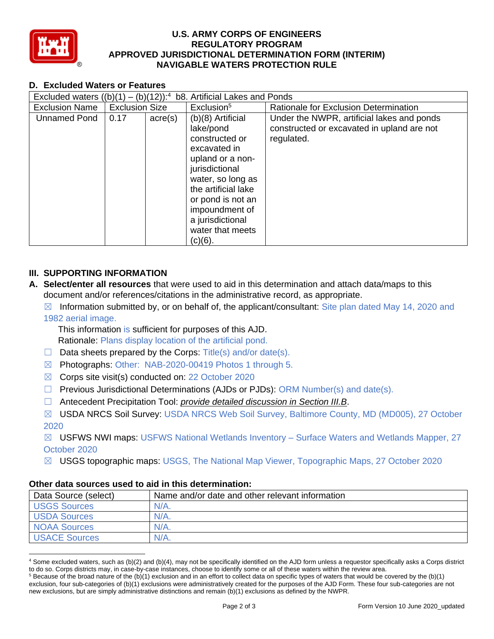

#### **U.S. ARMY CORPS OF ENGINEERS REGULATORY PROGRAM APPROVED JURISDICTIONAL DETERMINATION FORM (INTERIM) NAVIGABLE WATERS PROTECTION RULE**

# **D. Excluded Waters or Features**

| Excluded waters $((b)(1) -$ |                       |                  | $(b)(12)$ : <sup>4</sup> b8. Artificial Lakes and Ponds                                                                                                                                                                                        |                                                                                                        |
|-----------------------------|-----------------------|------------------|------------------------------------------------------------------------------------------------------------------------------------------------------------------------------------------------------------------------------------------------|--------------------------------------------------------------------------------------------------------|
| <b>Exclusion Name</b>       | <b>Exclusion Size</b> |                  | Exclusion <sup>5</sup>                                                                                                                                                                                                                         | Rationale for Exclusion Determination                                                                  |
| <b>Unnamed Pond</b>         | 0.17                  | $\text{acre}(s)$ | $(b)(8)$ Artificial<br>lake/pond<br>constructed or<br>excavated in<br>upland or a non-<br>jurisdictional<br>water, so long as<br>the artificial lake<br>or pond is not an<br>impoundment of<br>a jurisdictional<br>water that meets<br>(c)(6). | Under the NWPR, artificial lakes and ponds<br>constructed or excavated in upland are not<br>regulated. |

# **III. SUPPORTING INFORMATION**

- **A. Select/enter all resources** that were used to aid in this determination and attach data/maps to this document and/or references/citations in the administrative record, as appropriate.
	- $\boxtimes$  Information submitted by, or on behalf of, the applicant/consultant: Site plan dated May 14, 2020 and 1982 aerial image.

This information is sufficient for purposes of this AJD. Rationale: Plans display location of the artificial pond.

- $\Box$  Data sheets prepared by the Corps: Title(s) and/or date(s).
- ☒ Photographs: Other: NAB-2020-00419 Photos 1 through 5.
- ☒ Corps site visit(s) conducted on: 22 October 2020
- $\Box$  Previous Jurisdictional Determinations (AJDs or PJDs): ORM Number(s) and date(s).
- ☐ Antecedent Precipitation Tool: *provide detailed discussion in Section III.B*.
- ☒ USDA NRCS Soil Survey: USDA NRCS Web Soil Survey, Baltimore County, MD (MD005), 27 October 2020

 $\boxtimes$  USFWS NWI maps: USFWS National Wetlands Inventory – Surface Waters and Wetlands Mapper, 27 October 2020

☒ USGS topographic maps: USGS, The National Map Viewer, Topographic Maps, 27 October 2020

## **Other data sources used to aid in this determination:**

| Data Source (select) | Name and/or date and other relevant information |
|----------------------|-------------------------------------------------|
| <b>USGS Sources</b>  | $N/A$ .                                         |
| <b>USDA Sources</b>  | $N/A$ .                                         |
| <b>NOAA Sources</b>  | $N/A$ .                                         |
| <b>USACE Sources</b> | $N/A$ .                                         |

<sup>4</sup> Some excluded waters, such as (b)(2) and (b)(4), may not be specifically identified on the AJD form unless a requestor specifically asks a Corps district to do so. Corps districts may, in case-by-case instances, choose to identify some or all of these waters within the review area.

 $5$  Because of the broad nature of the (b)(1) exclusion and in an effort to collect data on specific types of waters that would be covered by the (b)(1) exclusion, four sub-categories of (b)(1) exclusions were administratively created for the purposes of the AJD Form. These four sub-categories are not new exclusions, but are simply administrative distinctions and remain (b)(1) exclusions as defined by the NWPR.